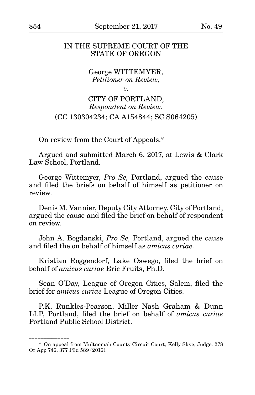#### IN THE SUPREME COURT OF THE STATE OF OREGON

### George WITTEMYER, *Petitioner on Review,*

*v.*

## CITY OF PORTLAND, *Respondent on Review.* (CC 130304234; CA A154844; SC S064205)

On review from the Court of Appeals.\*

Argued and submitted March 6, 2017, at Lewis & Clark Law School, Portland.

George Wittemyer, *Pro Se,* Portland, argued the cause and filed the briefs on behalf of himself as petitioner on review.

Denis M. Vannier, Deputy City Attorney, City of Portland, argued the cause and filed the brief on behalf of respondent on review.

John A. Bogdanski, *Pro Se,* Portland, argued the cause and filed the on behalf of himself as *amicus curiae*.

Kristian Roggendorf, Lake Oswego, filed the brief on behalf of *amicus curiae* Eric Fruits, Ph.D.

Sean O'Day, League of Oregon Cities, Salem, filed the brief for *amicus curiae* League of Oregon Cities.

P.K. Runkles-Pearson, Miller Nash Graham & Dunn LLP, Portland, filed the brief on behalf of *amicus curiae* Portland Public School District.

\_\_\_\_\_\_\_\_\_\_\_\_\_\_\_\_\_

<sup>\*</sup> On appeal from Multnomah County Circuit Court, Kelly Skye, Judge. 278 Or App 746, 377 P3d 589 (2016).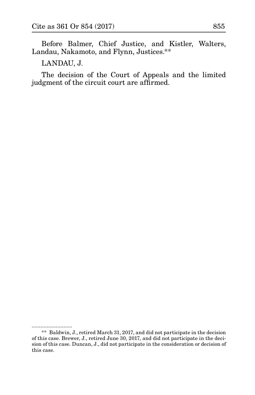Before Balmer, Chief Justice, and Kistler, Walters, Landau, Nakamoto, and Flynn, Justices.\*\*

LANDAU, J.

\_\_\_\_\_\_\_\_\_\_\_\_\_\_

The decision of the Court of Appeals and the limited judgment of the circuit court are affirmed.

<sup>\*\*</sup> Baldwin, J., retired March 31, 2017, and did not participate in the decision of this case. Brewer, J., retired June 30, 2017, and did not participate in the decision of this case. Duncan, J., did not participate in the consideration or decision of this case.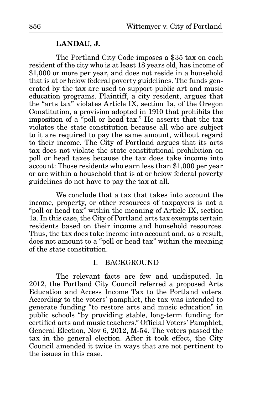### **LANDAU, J.**

The Portland City Code imposes a \$35 tax on each resident of the city who is at least 18 years old, has income of \$1,000 or more per year, and does not reside in a household that is at or below federal poverty guidelines. The funds generated by the tax are used to support public art and music education programs. Plaintiff, a city resident, argues that the "arts tax" violates Article IX, section 1a, of the Oregon Constitution, a provision adopted in 1910 that prohibits the imposition of a "poll or head tax." He asserts that the tax violates the state constitution because all who are subject to it are required to pay the same amount, without regard to their income. The City of Portland argues that its arts tax does not violate the state constitutional prohibition on poll or head taxes because the tax does take income into account: Those residents who earn less than \$1,000 per year or are within a household that is at or below federal poverty guidelines do not have to pay the tax at all.

We conclude that a tax that takes into account the income, property, or other resources of taxpayers is not a "poll or head tax" within the meaning of Article IX, section 1a. In this case, the City of Portland arts tax exempts certain residents based on their income and household resources. Thus, the tax does take income into account and, as a result, does not amount to a "poll or head tax" within the meaning of the state constitution.

### I. BACKGROUND

The relevant facts are few and undisputed. In 2012, the Portland City Council referred a proposed Arts Education and Access Income Tax to the Portland voters. According to the voters' pamphlet, the tax was intended to generate funding "to restore arts and music education" in public schools "by providing stable, long-term funding for certified arts and music teachers." Official Voters' Pamphlet, General Election, Nov 6, 2012, M-54. The voters passed the tax in the general election. After it took effect, the City Council amended it twice in ways that are not pertinent to the issues in this case.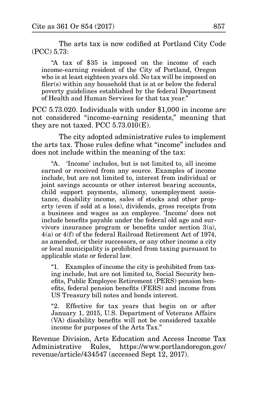The arts tax is now codified at Portland City Code (PCC) 5.73:

"A tax of \$35 is imposed on the income of each income-earning resident of the City of Portland, Oregon who is at least eighteen years old. No tax will be imposed on filer(s) within any household that is at or below the federal poverty guidelines established by the federal Department of Health and Human Services for that tax year."

PCC 5.73.020. Individuals with under \$1,000 in income are not considered "income-earning residents," meaning that they are not taxed. PCC 5.73.010(E).

The city adopted administrative rules to implement the arts tax. Those rules define what "income" includes and does not include within the meaning of the tax:

"A. 'Income' includes, but is not limited to, all income earned or received from any source. Examples of income include, but are not limited to, interest from individual or joint savings accounts or other interest bearing accounts, child support payments, alimony, unemployment assistance, disability income, sales of stocks and other property (even if sold at a loss), dividends, gross receipts from a business and wages as an employee. 'Income' does not include benefits payable under the federal old age and survivors insurance program or benefits under section 3(a), 4(a) or 4(f) of the federal Railroad Retirement Act of 1974, as amended, or their successors, or any other income a city or local municipality is prohibited from taxing pursuant to applicable state or federal law.

"1. Examples of income the city is prohibited from taxing include, but are not limited to, Social Security benefits, Public Employee Retirement (PERS) pension benefits, federal pension benefits (FERS) and income from US Treasury bill notes and bonds interest.

"2. Effective for tax years that begin on or after January 1, 2015, U.S. Department of Veterans Affairs (VA) disability benefits will not be considered taxable income for purposes of the Arts Tax."

Revenue Division, Arts Education and Access Income Tax Administrative Rules, https://www.portlandoregon.gov/ revenue/article/434547 (accessed Sept 12, 2017).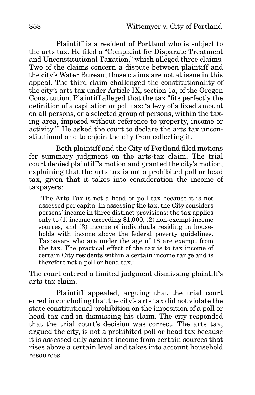Plaintiff is a resident of Portland who is subject to the arts tax. He filed a "Complaint for Disparate Treatment and Unconstitutional Taxation," which alleged three claims. Two of the claims concern a dispute between plaintiff and the city's Water Bureau; those claims are not at issue in this appeal. The third claim challenged the constitutionality of the city's arts tax under Article IX, section 1a, of the Oregon Constitution. Plaintiff alleged that the tax "fits perfectly the definition of a capitation or poll tax: 'a levy of a fixed amount on all persons, or a selected group of persons, within the taxing area, imposed without reference to property, income or activity.'" He asked the court to declare the arts tax unconstitutional and to enjoin the city from collecting it.

Both plaintiff and the City of Portland filed motions for summary judgment on the arts-tax claim. The trial court denied plaintiff's motion and granted the city's motion, explaining that the arts tax is not a prohibited poll or head tax, given that it takes into consideration the income of taxpayers:

"The Arts Tax is not a head or poll tax because it is not assessed per capita. In assessing the tax, the City considers persons' income in three distinct provisions: the tax applies only to (1) income exceeding \$1,000, (2) non-exempt income sources, and (3) income of individuals residing in households with income above the federal poverty guidelines. Taxpayers who are under the age of 18 are exempt from the tax. The practical effect of the tax is to tax income of certain City residents within a certain income range and is therefore not a poll or head tax."

The court entered a limited judgment dismissing plaintiff's arts-tax claim.

Plaintiff appealed, arguing that the trial court erred in concluding that the city's arts tax did not violate the state constitutional prohibition on the imposition of a poll or head tax and in dismissing his claim. The city responded that the trial court's decision was correct. The arts tax, argued the city, is not a prohibited poll or head tax because it is assessed only against income from certain sources that rises above a certain level and takes into account household resources.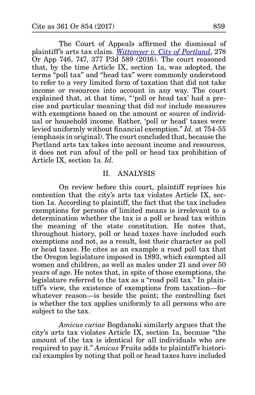The Court of Appeals affirmed the dismissal of plaintiff's arts tax claim. *[Wittemyer v. City of Portland](http://www.publications.ojd.state.or.us/docs/A154844.pdf)*, 278 Or App 746, 747, 377 P3d 589 (2016). The court reasoned that, by the time Article IX, section 1a, was adopted, the terms "poll tax" and "head tax" were commonly understood to refer to a very limited form of taxation that did not take income or resources into account in any way. The court explained that, at that time, "'poll or head tax' had a precise and particular meaning that did *not* include measures with exemptions based on the amount or source of individual or household income. Rather, 'poll or head' taxes were levied uniformly without financial exemption." *Id.* at 754-55 (emphasis in original). The court concluded that, because the Portland arts tax takes into account income and resources, it does not run afoul of the poll or head tax prohibition of Article IX, section 1a. *Id.*

## II. ANALYSIS

On review before this court, plaintiff reprises his contention that the city's arts tax violates Article IX, section 1a. According to plaintiff, the fact that the tax includes exemptions for persons of limited means is irrelevant to a determination whether the tax is a poll or head tax within the meaning of the state constitution. He notes that, throughout history, poll or head taxes have included such exemptions and not, as a result, lost their character as poll or head taxes. He cites as an example a road poll tax that the Oregon legislature imposed in 1893, which exempted all women and children, as well as males under 21 and over 50 years of age. He notes that, in spite of those exemptions, the legislature referred to the tax as a "road poll tax." In plaintiff's view, the existence of exemptions from taxation—for whatever reason—is beside the point; the controlling fact is whether the tax applies uniformly to all persons who are subject to the tax.

*Amicus curiae* Bogdanski similarly argues that the city's arts tax violates Article IX, section 1a, because "the amount of the tax is identical for all individuals who are required to pay it." *Amicus* Fruits adds to plaintiff's historical examples by noting that poll or head taxes have included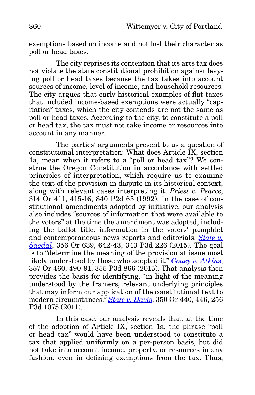exemptions based on income and not lost their character as poll or head taxes.

The city reprises its contention that its arts tax does not violate the state constitutional prohibition against levying poll or head taxes because the tax takes into account sources of income, level of income, and household resources. The city argues that early historical examples of flat taxes that included income-based exemptions were actually "capitation" taxes, which the city contends are not the same as poll or head taxes. According to the city, to constitute a poll or head tax, the tax must not take income or resources into account in any manner.

The parties' arguments present to us a question of constitutional interpretation: What does Article IX, section 1a, mean when it refers to a "poll or head tax"? We construe the Oregon Constitution in accordance with settled principles of interpretation, which require us to examine the text of the provision in dispute in its historical context, along with relevant cases interpreting it. *Priest v. Pearce*, 314 Or 411, 415-16, 840 P2d 65 (1992). In the case of constitutional amendments adopted by initiative, our analysis also includes "sources of information that were available to the voters" at the time the amendment was adopted, including the ballot title, information in the voters' pamphlet and contemporaneous news reports and editorials. *[State v.](http://www.publications.ojd.state.or.us/docs/S061846.pdf) [Sagdal](http://www.publications.ojd.state.or.us/docs/S061846.pdf)*, 356 Or 639, 642-43, 343 P3d 226 (2015). The goal is to "determine the meaning of the provision at issue most likely understood by those who adopted it." *[Couey v. Atkins](http://www.publications.ojd.state.or.us/docs/S061650.pdf)*, 357 Or 460, 490-91, 355 P3d 866 (2015). That analysis then provides the basis for identifying, "in light of the meaning understood by the framers, relevant underlying principles that may inform our application of the constitutional text to modern circumstances." *[State v. Davis](http://www.publications.ojd.state.or.us/docs/S058572.pdf)*, 350 Or 440, 446, 256 P3d 1075 (2011).

In this case, our analysis reveals that, at the time of the adoption of Article IX, section 1a, the phrase "poll or head tax" would have been understood to constitute a tax that applied uniformly on a per-person basis, but did not take into account income, property, or resources in any fashion, even in defining exemptions from the tax. Thus,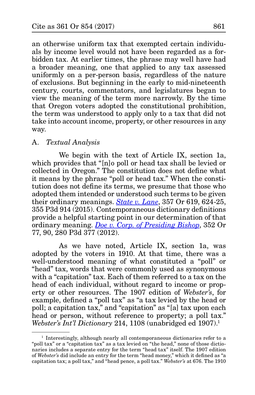an otherwise uniform tax that exempted certain individuals by income level would not have been regarded as a forbidden tax. At earlier times, the phrase may well have had a broader meaning, one that applied to any tax assessed uniformly on a per-person basis, regardless of the nature of exclusions. But beginning in the early to mid-nineteenth century, courts, commentators, and legislatures began to view the meaning of the term more narrowly. By the time that Oregon voters adopted the constitutional prohibition, the term was understood to apply only to a tax that did not take into account income, property, or other resources in any way.

## A. *Textual Analysis*

We begin with the text of Article IX, section 1a, which provides that "[n]o poll or head tax shall be levied or collected in Oregon." The constitution does not define what it means by the phrase "poll or head tax." When the constitution does not define its terms, we presume that those who adopted them intended or understood such terms to be given their ordinary meanings. *[State v. Lane](http://www.publications.ojd.state.or.us/docs/S062045.pdf)*, 357 Or 619, 624-25, 355 P3d 914 (2015). Contemporaneous dictionary definitions provide a helpful starting point in our determination of that ordinary meaning. *[Doe v. Corp. of Presiding Bishop](http://www.publications.ojd.state.or.us/docs/S058601.pdf)*, 352 Or 77, 90, 280 P3d 377 (2012).

As we have noted, Article IX, section 1a, was adopted by the voters in 1910. At that time, there was a well-understood meaning of what constituted a "poll" or "head" tax, words that were commonly used as synonymous with a "capitation" tax. Each of them referred to a tax on the head of each individual, without regard to income or property or other resources. The 1907 edition of *Webster's*, for example, defined a "poll tax" as "a tax levied by the head or poll; a capitation tax," and "capitation" as "[a] tax upon each head or person, without reference to property; a poll tax." *Webster's Int'l Dictionary* 214, 1108 (unabridged ed 1907).<sup>1</sup>

<sup>&</sup>lt;sup>1</sup> Interestingly, although nearly all contemporaneous dictionaries refer to a "poll tax" or a "capitation tax" as a tax levied on "the head," none of those dictionaries includes a separate entry for the term "head tax" itself. The 1907 edition of *Webster's* did include an entry for the term "head money," which it defined as "a capitation tax; a poll tax," and "head pence, a poll tax." *Webster's* at 676. The 1910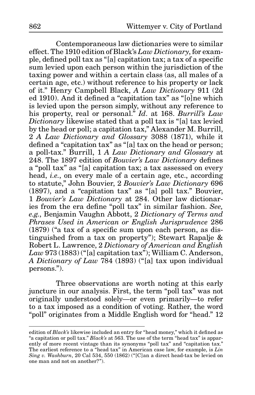Contemporaneous law dictionaries were to similar effect. The 1910 edition of Black's *Law Dictionary*, for example, defined poll tax as "[a] capitation tax; a tax of a specific sum levied upon each person within the jurisdiction of the taxing power and within a certain class (as, all males of a certain age, etc.) without reference to his property or lack of it." Henry Campbell Black, *A Law Dictionary* 911 (2d ed 1910). And it defined a "capitation tax" as "[o]ne which is levied upon the person simply, without any reference to his property, real or personal." *Id*. at 168. *Burrill's Law Dictionary* likewise stated that a poll tax is "[a] tax levied by the head or poll; a capitation tax," Alexander M. Burrill, 2 *A Law Dictionary and Glossary* 3088 (1871), while it defined a "capitation tax" as "[a] tax on the head or person; a poll-tax." Burrill, 1 *A Law Dictionary and Glossary* at 248. The 1897 edition of *Bouvier's Law Dictionary* defines a "poll tax" as "[a] capitation tax; a tax assessed on every head, *i.e.*, on every male of a certain age, etc., according to statute," John Bouvier, 2 *Bouvier's Law Dictionary* 696 (1897), and a "capitation tax" as "[a] poll tax." Bouvier, 1 *Bouvier's Law Dictionary* at 284. Other law dictionaries from the era define "poll tax" in similar fashion. *See, e.g.*, Benjamin Vaughn Abbott, 2 *Dictionary of Terms and Phrases Used in American or English Jurisprudence* 286 (1879) ("a tax of a specific sum upon each person, as distinguished from a tax on property"); Stewart Rapalje & Robert L. Lawrence, 2 *Dictionary of American and English Law* 973 (1883) ("[a] capitation tax"); William C. Anderson, *A Dictionary of Law* 784 (1893) ("[a] tax upon individual persons.").

Three observations are worth noting at this early juncture in our analysis. First, the term "poll tax" was not originally understood solely—or even primarily—to refer to a tax imposed as a condition of voting. Rather, the word "poll" originates from a Middle English word for "head." 12

edition of *Black's* likewise included an entry for "head money," which it defined as "a capitation or poll tax." *Black's* at 563. The use of the term "head tax" is apparently of more recent vintage than its synonyms "poll tax" and "capitation tax." The earliest reference to a "head tax" in American case law, for example, is *Lin Sing v. Washburn*, 20 Cal 534, 550 (1862) ("[C]an a direct head-tax be levied on one man and not on another?").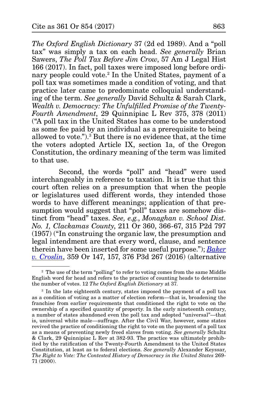*The Oxford English Dictionary* 37 (2d ed 1989). And a "poll tax" was simply a tax on each head. *See generally* Brian Sawers, *The Poll Tax Before Jim Crow*, 57 Am J Legal Hist 166 (2017). In fact, poll taxes were imposed long before ordinary people could vote.2 In the United States, payment of a poll tax was sometimes made a condition of voting, and that practice later came to predominate colloquial understanding of the term. *See generally* David Schultz & Sarah Clark, *Wealth v. Democracy: The Unfulfilled Promise of the Twenty-Fourth Amendment*, 29 Quinnipiac L Rev 375, 378 (2011) ("A poll tax in the United States has come to be understood as some fee paid by an individual as a prerequisite to being allowed to vote.").3 But there is no evidence that, at the time the voters adopted Article IX, section 1a, of the Oregon Constitution, the ordinary meaning of the term was limited to that use.

Second, the words "poll" and "head" were used interchangeably in reference to taxation. It is true that this court often relies on a presumption that when the people or legislatures used different words, they intended those words to have different meanings; application of that presumption would suggest that "poll" taxes are somehow distinct from "head" taxes. *See, e.g.*, *Monaghan v. School Dist. No. 1, Clackamas County*, 211 Or 360, 366-67, 315 P2d 797 (1957) ("In construing the organic law, the presumption and legal intendment are that every word, clause, and sentence therein have been inserted for some useful purpose."); *[Baker](http://www.publications.ojd.state.or.us/docs/S062571.pdf) [v. Croslin](http://www.publications.ojd.state.or.us/docs/S062571.pdf)*, 359 Or 147, 157, 376 P3d 267 (2016) (alternative

<sup>&</sup>lt;sup>2</sup> The use of the term "polling" to refer to voting comes from the same Middle English word for head and refers to the practice of counting heads to determine the number of votes. 12 *The Oxford English Dictionary* at 37.

<sup>&</sup>lt;sup>3</sup> In the late eighteenth century, states imposed the payment of a poll tax as a condition of voting as a matter of election reform—that is, broadening the franchise from earlier requirements that conditioned the right to vote on the ownership of a specified quantity of property. In the early nineteenth century, a number of states abandoned even the poll tax and adopted "universal"—that is, universal white male—suffrage. After the Civil War, however, some states revived the practice of conditioning the right to vote on the payment of a poll tax as a means of preventing newly freed slaves from voting. *See generally* Schultz & Clark, 29 Quinnipiac L Rev at 382-93. The practice was ultimately prohibited by the ratification of the Twenty-Fourth Amendment to the United States Constitution, at least as to federal elections. *See generally* Alexander Keyssar, *The Right to Vote: The Contested History of Democracy in the United States* 269- 71 (2000).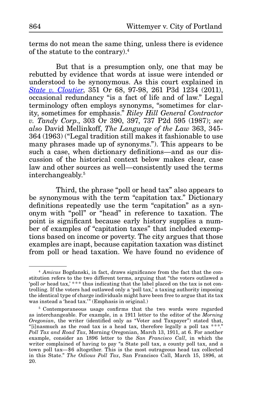terms do not mean the same thing, unless there is evidence of the statute to the contrary).4

But that is a presumption only, one that may be rebutted by evidence that words at issue were intended or understood to be synonymous. As this court explained in *[State v. Cloutier](http://www.publications.ojd.state.or.us/docs/S059039.pdf)*, 351 Or 68, 97-98, 261 P3d 1234 (2011), occasional redundancy "is a fact of life and of law." Legal terminology often employs synonyms, "sometimes for clarity, sometimes for emphasis." *Riley Hill General Contractor v. Tandy Corp*., 303 Or 390, 397, 737 P2d 595 (1987); *see also* David Mellinkoff, *The Language of the Law* 363, 345- 364 (1963) ("Legal tradition still makes it fashionable to use many phrases made up of synonyms."). This appears to be such a case, when dictionary definitions—and as our discussion of the historical context below makes clear, case law and other sources as well—consistently used the terms interchangeably.5

Third, the phrase "poll or head tax" also appears to be synonymous with the term "capitation tax." Dictionary definitions repeatedly use the term "capitation" as a synonym with "poll" or "head" in reference to taxation. The point is significant because early history supplies a number of examples of "capitation taxes" that included exemptions based on income or poverty. The city argues that those examples are inapt, because capitation taxation was distinct from poll or head taxation. We have found no evidence of

<sup>4</sup> *Amicus* Bogdanski, in fact, draws significance from the fact that the constitution refers to the two different terms, arguing that "the voters outlawed a 'poll *or* head tax,'\*\*\* thus indicating that the label placed on the tax is not controlling. If the voters had outlawed only a 'poll tax,' a taxing authority imposing the identical type of charge individuals might have been free to argue that its tax was instead a 'head tax.'" (Emphasis in original.)

<sup>&</sup>lt;sup>5</sup> Contemporaneous usage confirms that the two words were regarded as interchangeable. For example, in a 1911 letter to the editor of the *Morning Oregonian*, the writer (identified only as "Voter and Taxpayer") stated that, "[i]nasmuch as the road tax is a head tax, therefore legally a poll tax \*\*\*." *Poll Tax and Road Tax*, Morning Oregonian, March 13, 1911, at 6. For another example, consider an 1896 letter to the *San Francisco Call*, in which the writer complained of having to pay "a State poll tax, a county poll tax, and a town poll tax—\$6 altogether. This is the most outrageous head tax collected in this State." *The Odious Poll Tax*, San Francisco Call, March 15, 1896, at 20.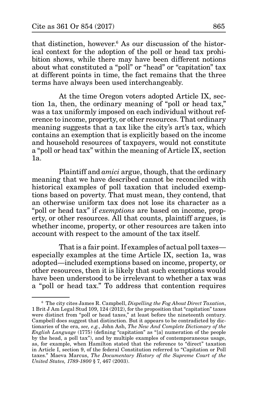that distinction, however.6 As our discussion of the historical context for the adoption of the poll or head tax prohibition shows, while there may have been different notions about what constituted a "poll" or "head" or "capitation" tax at different points in time, the fact remains that the three terms have always been used interchangeably.

At the time Oregon voters adopted Article IX, section 1a, then, the ordinary meaning of "poll or head tax," was a tax uniformly imposed on each individual without reference to income, property, or other resources. That ordinary meaning suggests that a tax like the city's art's tax, which contains an exemption that is explicitly based on the income and household resources of taxpayers, would not constitute a "poll or head tax" within the meaning of Article IX, section 1a.

Plaintiff and *amici* argue, though, that the ordinary meaning that we have described cannot be reconciled with historical examples of poll taxation that included exemptions based on poverty. That must mean, they contend, that an otherwise uniform tax does not lose its character as a "poll or head tax" if *exemptions* are based on income, property, or other resources. All that counts, plaintiff argues, is whether income, property, or other resources are taken into account with respect to the amount of the tax itself.

That is a fair point. If examples of actual poll taxes especially examples at the time Article IX, section 1a, was adopted—included exemptions based on income, property, or other resources, then it is likely that such exemptions would have been understood to be irrelevant to whether a tax was a "poll or head tax." To address that contention requires

<sup>6</sup> The city cites James R. Campbell, *Dispelling the Fog About Direct Taxation*, 1 Brit J Am Legal Stud 109, 124 (2012), for the proposition that "capitation" taxes were distinct from "poll or head taxes," at least before the nineteenth century. Campbell does suggest that distinction. But it appears to be contradicted by dictionaries of the era, *see, e.g.*, John Ash, *The New And Complete Dictionary of the English Language* (1775) (defining "capitation" as "[a] numeration of the people by the head, a poll tax"), and by multiple examples of contemporaneous usage, as, for example, when Hamilton stated that the reference to "direct" taxation in Article I, section 9, of the federal Constitution referred to "Capitation or Poll taxes." Maeva Marcus, *The Documentary History of the Supreme Court of the United States, 1789-1800* § 7, 467 (2003).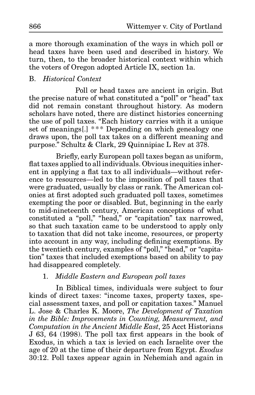a more thorough examination of the ways in which poll or head taxes have been used and described in history. We turn, then, to the broader historical context within which the voters of Oregon adopted Article IX, section 1a.

# B. *Historical Context*

Poll or head taxes are ancient in origin. But the precise nature of what constituted a "poll" or "head" tax did not remain constant throughout history. As modern scholars have noted, there are distinct histories concerning the use of poll taxes. "Each history carries with it a unique set of meanings[.] \*\*\* Depending on which genealogy one draws upon, the poll tax takes on a different meaning and purpose." Schultz & Clark, 29 Quinnipiac L Rev at 378.

Briefly, early European poll taxes began as uniform, flat taxes applied to all individuals. Obvious inequities inherent in applying a flat tax to all individuals—without reference to resources—led to the imposition of poll taxes that were graduated, usually by class or rank. The American colonies at first adopted such graduated poll taxes, sometimes exempting the poor or disabled. But, beginning in the early to mid-nineteenth century, American conceptions of what constituted a "poll," "head," or "capitation" tax narrowed, so that such taxation came to be understood to apply only to taxation that did not take income, resources, or property into account in any way, including defining exemptions. By the twentieth century, examples of "poll," "head," or "capitation" taxes that included exemptions based on ability to pay had disappeared completely.

# 1. *Middle Eastern and European poll taxes*

In Biblical times, individuals were subject to four kinds of direct taxes: "income taxes, property taxes, special assessment taxes, and poll or capitation taxes." Manuel L. Jose & Charles K. Moore, *The Development of Taxation in the Bible: Improvements in Counting, Measurement, and Computation in the Ancient Middle East*, 25 Acct Historians J 63, 64 (1998). The poll tax first appears in the book of Exodus, in which a tax is levied on each Israelite over the age of 20 at the time of their departure from Egypt. *Exodus* 30:12. Poll taxes appear again in Nehemiah and again in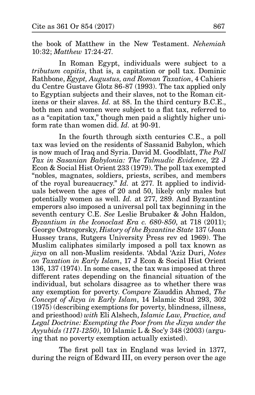the book of Matthew in the New Testament. *Nehemiah* 10:32; *Matthew* 17:24-27.

In Roman Egypt, individuals were subject to a *tributum capitis*, that is, a capitation or poll tax. Dominic Rathbone, *Egypt, Augustus, and Roman Taxation*, 4 Cahiers du Centre Gustave Glotz 86-87 (1993). The tax applied only to Egyptian subjects and their slaves, not to the Roman citizens or their slaves. *Id.* at 88. In the third century B.C.E., both men and women were subject to a flat tax, referred to as a "capitation tax," though men paid a slightly higher uniform rate than women did. *Id.* at 90-91.

In the fourth through sixth centuries C.E., a poll tax was levied on the residents of Sassanid Babylon, which is now much of Iraq and Syria. David M. Goodblatt, *The Poll Tax in Sasanian Babylonia: The Talmudic Evidence*, 22 J Econ & Social Hist Orient 233 (1979). The poll tax exempted "nobles, magnates, soldiers, priests, scribes, and members of the royal bureaucracy." *Id.* at 277. It applied to individuals between the ages of 20 and 50, likely only males but potentially women as well. *Id.* at 277, 289. And Byzantine emperors also imposed a universal poll tax beginning in the seventh century C.E. *See* Leslie Brubaker & John Haldon, *Byzantium in the Iconoclast Era c. 680-850*, at 718 (2011); George Ostrogorsky, *History of the Byzantine State* 137 (Joan Hussey trans, Rutgers University Press rev ed 1969). The Muslim caliphates similarly imposed a poll tax known as *jizya* on all non-Muslim residents. 'Abdal 'Aziz Duri, *Notes on Taxation in Early Islam*, 17 J Econ & Social Hist Orient 136, 137 (1974). In some cases, the tax was imposed at three different rates depending on the financial situation of the individual, but scholars disagree as to whether there was any exemption for poverty. *Compare* Ziauddin Ahmed, *The Concept of Jizya in Early Islam*, 14 Islamic Stud 293, 302 (1975) (describing exemptions for poverty, blindness, illness, and priesthood) *with* Eli Alshech, *Islamic Law, Practice, and Legal Doctrine: Exempting the Poor from the Jizya under the Ayyubids (1171-1250)*, 10 Islamic L & Soc'y 348 (2003) (arguing that no poverty exemption actually existed).

The first poll tax in England was levied in 1377, during the reign of Edward III, on every person over the age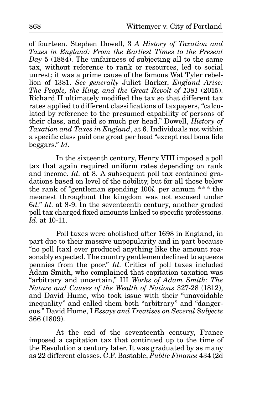of fourteen. Stephen Dowell, 3 *A History of Taxation and Taxes in England: From the Earliest Times to the Present Day* 5 (1884). The unfairness of subjecting all to the same tax, without reference to rank or resources, led to social unrest; it was a prime cause of the famous Wat Tyler rebellion of 1381. *See generally* Juliet Barker, *England Arise: The People, the King, and the Great Revolt of 1381* (2015). Richard II ultimately modified the tax so that different tax rates applied to different classifications of taxpayers, "calculated by reference to the presumed capability of persons of their class, and paid so much per head." Dowell, *History of Taxation and Taxes in England*, at 6. Individuals not within a specific class paid one groat per head "except real bona fide beggars." *Id*.

In the sixteenth century, Henry VIII imposed a poll tax that again required uniform rates depending on rank and income. *Id*. at 8. A subsequent poll tax contained gradations based on level of the nobility, but for all those below the rank of "gentleman spending 100*l*. per annum \*\*\* the meanest throughout the kingdom was not excused under 6*d.*" *Id*. at 8-9. In the seventeenth century, another graded poll tax charged fixed amounts linked to specific professions. *Id*. at 10-11.

Poll taxes were abolished after 1698 in England, in part due to their massive unpopularity and in part because "no poll [tax] ever produced anything like the amount reasonably expected. The country gentlemen declined to squeeze pennies from the poor." *Id*. Critics of poll taxes included Adam Smith, who complained that capitation taxation was "arbitrary and uncertain," III *Works of Adam Smith: The Nature and Causes of the Wealth of Nations* 327-28 (1812), and David Hume, who took issue with their "unavoidable inequality" and called them both "arbitrary" and "dangerous." David Hume, I *Essays and Treatises on Several Subjects* 366 (1809).

At the end of the seventeenth century, France imposed a capitation tax that continued up to the time of the Revolution a century later. It was graduated by as many as 22 different classes. C.F. Bastable, *Public Finance* 434 (2d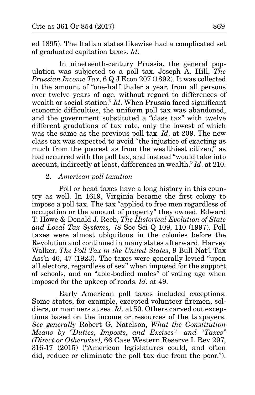ed 1895). The Italian states likewise had a complicated set of graduated capitation taxes. *Id*.

In nineteenth-century Prussia, the general population was subjected to a poll tax. Joseph A. Hill, *The Prussian Income Tax*, 6 Q J Econ 207 (1892). It was collected in the amount of "one-half thaler a year, from all persons over twelve years of age, without regard to differences of wealth or social station." *Id*. When Prussia faced significant economic difficulties, the uniform poll tax was abandoned, and the government substituted a "class tax" with twelve different gradations of tax rate, only the lowest of which was the same as the previous poll tax. *Id*. at 209. The new class tax was expected to avoid "the injustice of exacting as much from the poorest as from the wealthiest citizen, $\bar{r}$  as had occurred with the poll tax, and instead "would take into account, indirectly at least, differences in wealth." *Id*. at 210.

## 2. *American poll taxation*

Poll or head taxes have a long history in this country as well. In 1619, Virginia became the first colony to impose a poll tax. The tax "applied to free men regardless of occupation or the amount of property" they owned. Edward T. Howe & Donald J. Reeb, *The Historical Evolution of State and Local Tax Systems,* 78 Soc Sci Q 109, 110 (1997). Poll taxes were almost ubiquitous in the colonies before the Revolution and continued in many states afterward. Harvey Walker, *The Poll Tax in the United States*, 9 Bull Nat'l Tax Ass'n 46, 47 (1923). The taxes were generally levied "upon all electors, regardless of sex" when imposed for the support of schools, and on "able-bodied males" of voting age when imposed for the upkeep of roads. *Id.* at 49.

Early American poll taxes included exceptions. Some states, for example, excepted volunteer firemen, soldiers, or mariners at sea. *Id.* at 50. Others carved out exceptions based on the income or resources of the taxpayers. *See generally* Robert G. Natelson, *What the Constitution Means by "Duties, Imposts, and Excises"—and "Taxes" (Direct or Otherwise)*, 66 Case Western Reserve L Rev 297, 316-17 (2015) ("American legislatures could, and often did, reduce or eliminate the poll tax due from the poor.").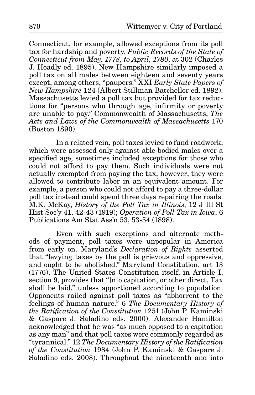Connecticut, for example, allowed exceptions from its poll tax for hardship and poverty. *Public Records of the State of Connecticut from May, 1778, to April, 1780*, at 302 (Charles J. Hoadly ed. 1895). New Hampshire similarly imposed a poll tax on all males between eighteen and seventy years except, among others, "paupers." XXI *Early State Papers of New Hampshire* 124 (Albert Stillman Batchellor ed. 1892). Massachusetts levied a poll tax but provided for tax reductions for "persons who through age, infirmity or poverty are unable to pay." Commonwealth of Massachusetts, *The Acts and Laws of the Commonwealth of Massachusetts* 170 (Boston 1890).

In a related vein, poll taxes levied to fund roadwork, which were assessed only against able-bodied males over a specified age, sometimes included exceptions for those who could not afford to pay them. Such individuals were not actually exempted from paying the tax, however; they were allowed to contribute labor in an equivalent amount. For example, a person who could not afford to pay a three-dollar poll tax instead could spend three days repairing the roads. M.K. McKay, *History of the Poll Tax in Illinois*, 12 J Ill St Hist Soc'y 41, 42-43 (1919); *Operation of Poll Tax in Iowa*, 6 Publications Am Stat Ass'n 53, 53-54 (1898).

Even with such exceptions and alternate methods of payment, poll taxes were unpopular in America from early on. Maryland's *Declaration of Rights* asserted that "levying taxes by the poll is grievous and oppressive, and ought to be abolished." Maryland Constitution, art 13 (1776). The United States Constitution itself, in Article I, section 9, provides that "[n]o capitation, or other direct, Tax shall be laid," unless apportioned according to population. Opponents railed against poll taxes as "abhorrent to the feelings of human nature." 6 *The Documentary History of the Ratification of the Constitution* 1251 (John P. Kaminski & Gaspare J. Saladino eds. 2000). Alexander Hamilton acknowledged that he was "as much opposed to a capitation as any man" and that poll taxes were commonly regarded as "tyrannical." 12 *The Documentary History of the Ratification of the Constitution* 1984 (John P. Kaminski & Gaspare J. Saladino eds. 2008). Throughout the nineteenth and into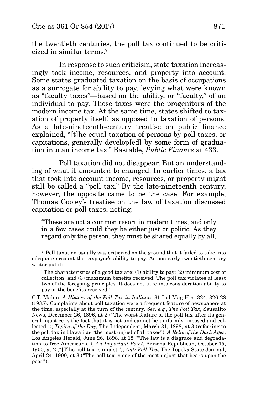the twentieth centuries, the poll tax continued to be criticized in similar terms.7

In response to such criticism, state taxation increasingly took income, resources, and property into account. Some states graduated taxation on the basis of occupations as a surrogate for ability to pay, levying what were known as "faculty taxes"—based on the ability, or "faculty," of an individual to pay. Those taxes were the progenitors of the modern income tax. At the same time, states shifted to taxation of property itself, as opposed to taxation of persons. As a late-nineteenth-century treatise on public finance explained, "[t]he equal taxation of persons by poll taxes, or capitations, generally develop[ed] by some form of graduation into an income tax." Bastable, *Public Finance* at 433.

Poll taxation did not disappear. But an understanding of what it amounted to changed. In earlier times, a tax that took into account income, resources, or property might still be called a "poll tax." By the late-nineteenth century, however, the opposite came to be the case. For example, Thomas Cooley's treatise on the law of taxation discussed capitation or poll taxes, noting:

"These are not a common resort in modern times, and only in a few cases could they be either just or politic. As they regard only the person, they must be shared equally by all,

<sup>7</sup> Poll taxation usually was criticized on the ground that it failed to take into adequate account the taxpayer's ability to pay. As one early twentieth century writer put it:

<sup>&</sup>quot;The characteristics of a good tax are:  $(1)$  ability to pay;  $(2)$  minimum cost of collection; and (3) maximum benefits received. The poll tax violates at least two of the foregoing principles. It does not take into consideration ability to pay or the benefits received."

C.T. Malan, *A History of the Poll Tax in Indiana*, 31 Ind Mag Hist 324, 326-28 (1935). Complaints about poll taxation were a frequent feature of newspapers at the time, especially at the turn of the century. *See, e.g.*, *The Poll Tax*, Sausalito News, December 26, 1896, at 2 ("The worst feature of the poll tax after its general injustice is the fact that it is not and cannot be uniformly imposed and collected."); *Topics of the Day*, The Independent, March 31, 1898, at 3 (referring to the poll tax in Hawaii as "the most unjust of all taxes"); *A Relic of the Dark Ages*, Los Angeles Herald, June 26, 1898, at 18 ("The law is a disgrace and degradation to free Americans."); *An Important Point*, Arizona Republican, October 15, 1900, at 2 ("[T]he poll tax is unjust."); *Anti Poll Tax*, The Topeka State Journal, April 24, 1900, at 3 ("The poll tax is one of the most unjust that bears upon the poor.").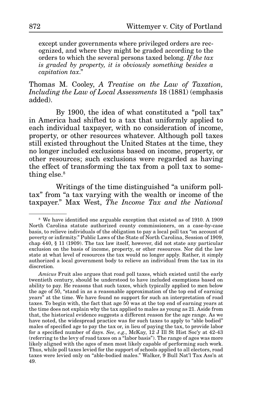except under governments where privileged orders are recognized, and where they might be graded according to the orders to which the several persons taxed belong. *If the tax is graded by property, it is obviously something besides a capitation tax*."

Thomas M. Cooley, *A Treatise on the Law of Taxation, Including the Law of Local Assessments* 18 (1881) (emphasis added).

By 1900, the idea of what constituted a "poll tax" in America had shifted to a tax that uniformly applied to each individual taxpayer, with no consideration of income, property, or other resources whatever. Although poll taxes still existed throughout the United States at the time, they no longer included exclusions based on income, property, or other resources; such exclusions were regarded as having the effect of transforming the tax from a poll tax to something else.<sup>8</sup>

Writings of the time distinguished "a uniform polltax" from "a tax varying with the wealth or income of the taxpayer." Max West, *The Income Tax and the National* 

<sup>8</sup> We have identified one arguable exception that existed as of 1910. A 1909 North Carolina statute authorized county commissioners, on a case-by-case basis, to relieve individuals of the obligation to pay a local poll tax "on account of poverty or infirmity." Public Laws of the State of North Carolina, Session of 1909, chap 440, § 11 (1909). The tax law itself, however, did not state any particular exclusion on the basis of income, property, or other resources. Nor did the law state at what level of resources the tax would no longer apply. Rather, it simply authorized a local government body to relieve an individual from the tax in its discretion.

*Amicus* Fruit also argues that road poll taxes, which existed until the early twentieth century, should be understood to have included exemptions based on ability to pay. He reasons that such taxes, which typically applied to men below the age of 50, "stand in as a reasonable approximation of the top end of earning years" at the time. We have found no support for such an interpretation of road taxes. To begin with, the fact that age 50 was at the top end of earning years at the time does not explain why the tax applied to males as young as 21. Aside from that, the historical evidence suggests a different reason for the age range. As we have noted, the widespread practice was for such taxes to apply to "able bodied" males of specified age to pay the tax or, in lieu of paying the tax, to provide labor for a specified number of days. *See, e.g*., McKay, 12 J Ill St Hist Soc'y at 42-43 (referring to the levy of road taxes on a "labor basis"). The range of ages was more likely aligned with the ages of men most likely capable of performing such work. Thus, while poll taxes levied for the support of schools applied to all electors, road taxes were levied only on "able-bodied males." Walker, 9 Bull Nat'l Tax Ass'n at 49.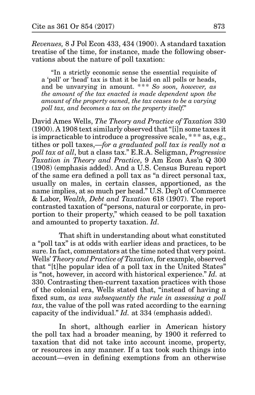*Revenues,* 8 J Pol Econ 433, 434 (1900). A standard taxation treatise of the time, for instance, made the following observations about the nature of poll taxation:

"In a strictly economic sense the essential requisite of a 'poll' or 'head' tax is that it be laid on all polls or heads, and be unvarying in amount. \*\*\* *So soon, however, as the amount of the tax enacted is made dependent upon the amount of the property owned, the tax ceases to be a varying poll tax, and becomes a tax on the property itself*."

David Ames Wells, *The Theory and Practice of Taxation* 330 (1900). A 1908 text similarly observed that "[i]n some taxes it is impracticable to introduce a progressive scale, \*\* \* as, e.g., tithes or poll taxes,—*for a graduated poll tax is really not a poll tax at all*, but a class tax." E.R.A. Seligman, *Progressive Taxation in Theory and Practice*, 9 Am Econ Ass'n Q 300 (1908) (emphasis added). And a U.S. Census Bureau report of the same era defined a poll tax as "a direct personal tax, usually on males, in certain classes, apportioned, as the name implies, at so much per head." U.S. Dep't of Commerce & Labor, *Wealth, Debt and Taxation* 618 (1907). The report contrasted taxation of "persons, natural or corporate, in proportion to their property," which ceased to be poll taxation and amounted to property taxation. *Id*.

That shift in understanding about what constituted a "poll tax" is at odds with earlier ideas and practices, to be sure. In fact, commentators at the time noted that very point. Wells' *Theory and Practice of Taxation*, for example, observed that "[t]he popular idea of a poll tax in the United States" is "not, however, in accord with historical experience." *Id.* at 330. Contrasting then-current taxation practices with those of the colonial era, Wells stated that, "instead of having a fixed sum, *as was subsequently the rule in assessing a poll tax*, the value of the poll was rated according to the earning capacity of the individual." *Id.* at 334 (emphasis added).

In short, although earlier in American history the poll tax had a broader meaning, by 1900 it referred to taxation that did not take into account income, property, or resources in any manner. If a tax took such things into account—even in defining exemptions from an otherwise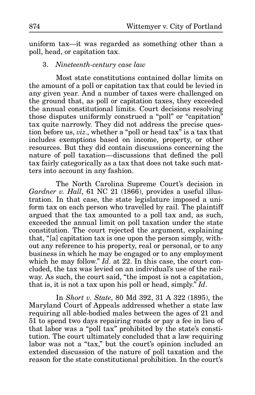uniform tax—it was regarded as something other than a poll, head, or capitation tax.

#### 3. *Nineteenth-century case law*

Most state constitutions contained dollar limits on the amount of a poll or capitation tax that could be levied in any given year. And a number of taxes were challenged on the ground that, as poll or capitation taxes, they exceeded the annual constitutional limits. Court decisions resolving those disputes uniformly construed a "poll" or "capitation" tax quite narrowly. They did not address the precise question before us, *viz*., whether a "poll or head tax" is a tax that includes exemptions based on income, property, or other resources. But they did contain discussions concerning the nature of poll taxation—discussions that defined the poll tax fairly categorically as a tax that does not take such matters into account in any fashion.

The North Carolina Supreme Court's decision in *Gardner v. Hall*, 61 NC 21 (1866), provides a useful illustration. In that case, the state legislature imposed a uniform tax on each person who travelled by rail. The plaintiff argued that the tax amounted to a poll tax and, as such, exceeded the annual limit on poll taxation under the state constitution. The court rejected the argument, explaining that, "[a] capitation tax is one upon the person simply, without any reference to his property, real or personal, or to any business in which he may be engaged or to any employment which he may follow." *Id*. at 22. In this case, the court concluded, the tax was levied on an individual's use of the railway. As such, the court said, "the impost is not a capitation, that is, it is not a tax upon his poll or head, simply." *Id*.

In *Short v. State*, 80 Md 392, 31 A 322 (1895), the Maryland Court of Appeals addressed whether a state law requiring all able-bodied males between the ages of 21 and 51 to spend two days repairing roads or pay a fee in lieu of that labor was a "poll tax" prohibited by the state's constitution. The court ultimately concluded that a law requiring labor was not a "tax," but the court's opinion included an extended discussion of the nature of poll taxation and the reason for the state constitutional prohibition. In the court's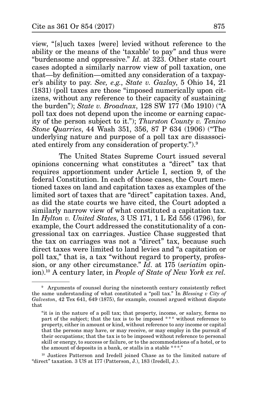view, "[s]uch taxes [were] levied without reference to the ability or the means of the 'taxable' to pay" and thus were "burdensome and oppressive." *Id*. at 323. Other state court cases adopted a similarly narrow view of poll taxation, one that—by definition—omitted any consideration of a taxpayer's ability to pay. *See, e.g.*, *State v. Gazlay*, 5 Ohio 14, 21 (1831) (poll taxes are those "imposed numerically upon citizens, without any reference to their capacity of sustaining the burden"); *State v. Broadnax*, 128 SW 177 (Mo 1910) ("A poll tax does not depend upon the income or earning capacity of the person subject to it."); *Thurston County v. Tenino Stone Quarries*, 44 Wash 351, 356, 87 P 634 (1906) ("The underlying nature and purpose of a poll tax are disassociated entirely from any consideration of property.").9

The United States Supreme Court issued several opinions concerning what constitutes a "direct" tax that requires apportionment under Article I, section 9, of the federal Constitution. In each of those cases, the Court mentioned taxes on land and capitation taxes as examples of the limited sort of taxes that are "direct" capitation taxes. And, as did the state courts we have cited, the Court adopted a similarly narrow view of what constituted a capitation tax. In *Hylton v. United States*, 3 US 171, 1 L Ed 556 (1796), for example, the Court addressed the constitutionality of a congressional tax on carriages. Justice Chase suggested that the tax on carriages was not a "direct" tax, because such direct taxes were limited to land levies and "a capitation or poll tax," that is, a tax "without regard to property, profession, or any other circumstance." *Id*. at 175 (*seriatim* opinion).10 A century later, in *People of State of New York ex rel.* 

<sup>&</sup>lt;sup>9</sup> Arguments of counsel during the nineteenth century consistently reflect the same understanding of what constituted a "poll tax." In *Blessing v City of Galveston*, 42 Tex 641, 649 (1875), for example, counsel argued without dispute that

<sup>&</sup>quot;it is in the nature of a poll tax; that property, income, or salary, forms no part of the subject; that the tax is to be imposed \*\*\* without reference to property, either in amount or kind, without reference to any income or capital that the persons may have, or may receive, or may employ in the pursuit of their occupations; that the tax is to be imposed without reference to personal skill or energy, to success or failure, or to the accommodations of a hotel, or to the amount of deposits in a bank, or stalls in a stable \*\*\*."

<sup>10</sup> Justices Patterson and Iredell joined Chase as to the limited nature of "direct" taxation. 3 US at 177 (Patterson, J.), 183 (Iredell, J.).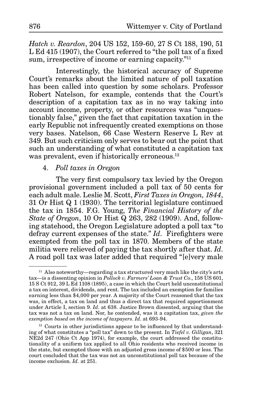*Hatch v. Reardon*, 204 US 152, 159-60, 27 S Ct 188, 190, 51 L Ed 415 (1907), the Court referred to "the poll tax of a fixed sum, irrespective of income or earning capacity."<sup>11</sup>

Interestingly, the historical accuracy of Supreme Court's remarks about the limited nature of poll taxation has been called into question by some scholars. Professor Robert Natelson, for example, contends that the Court's description of a capitation tax as in no way taking into account income, property, or other resources was "unquestionably false," given the fact that capitation taxation in the early Republic not infrequently created exemptions on those very bases. Natelson, 66 Case Western Reserve L Rev at 349. But such criticism only serves to bear out the point that such an understanding of what constituted a capitation tax was prevalent, even if historically erroneous.<sup>12</sup>

## 4. *Poll taxes in Oregon*

The very first compulsory tax levied by the Oregon provisional government included a poll tax of 50 cents for each adult male. Leslie M. Scott, *First Taxes in Oregon, 1844*, 31 Or Hist Q 1 (1930). The territorial legislature continued the tax in 1854. F.G. Young, *The Financial History of the State of Oregon*, 10 Or Hist Q 263, 282 (1909). And, following statehood, the Oregon Legislature adopted a poll tax "to defray current expenses of the state." *Id*. Firefighters were exempted from the poll tax in 1870. Members of the state militia were relieved of paying the tax shortly after that. *Id*. A road poll tax was later added that required "[e]very male

<sup>&</sup>lt;sup>11</sup> Also noteworthy—regarding a tax structured very much like the city's arts tax—is a dissenting opinion in *Pollock v. Farmers' Loan & Trust Co.*, 158 US 601, 15 S Ct 912, 39 L Ed 1108 (1895), a case in which the Court held unconstitutional a tax on interest, dividends, and rent. The tax included an exemption for families earning less than \$4,000 per year. A majority of the Court reasoned that the tax was, in effect, a tax on land and thus a direct tax that required apportionment under Article I, section 9. *Id*. at 638. Justice Brown dissented, arguing that the tax was not a tax on land. Nor, he contended, was it a capitation tax, *given the exemption based on the income of taxpayers*. *Id*. at 693-94.

<sup>&</sup>lt;sup>12</sup> Courts in other jurisdictions appear to be influenced by that understanding of what constitutes a "poll tax" down to the present. In *Tiefel v. Gilligan*, 321 NE2d 247 (Ohio Ct App 1974), for example, the court addressed the constitutionality of a uniform tax applied to all Ohio residents who received income in the state, but exempted those with an adjusted gross income of \$500 or less. The court concluded that the tax was not an unconstitutional poll tax because of the income exclusion. *Id.* at 251.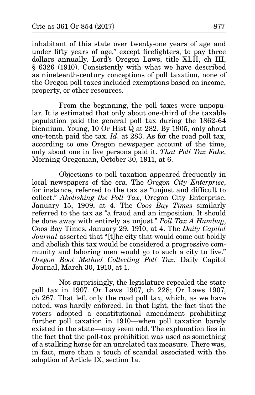inhabitant of this state over twenty-one years of age and under fifty years of age," except firefighters, to pay three dollars annually. Lord's Oregon Laws, title XLII, ch III, § 6326 (1910). Consistently with what we have described as nineteenth-century conceptions of poll taxation, none of the Oregon poll taxes included exemptions based on income, property, or other resources.

From the beginning, the poll taxes were unpopular. It is estimated that only about one-third of the taxable population paid the general poll tax during the 1862-64 biennium. Young, 10 Or Hist Q at 282. By 1905, only about one-tenth paid the tax. *Id*. at 283. As for the road poll tax, according to one Oregon newspaper account of the time, only about one in five persons paid it. *That Poll Tax Fake*, Morning Oregonian, October 30, 1911, at 6.

Objections to poll taxation appeared frequently in local newspapers of the era. The *Oregon City Enterprise*, for instance, referred to the tax as "unjust and difficult to collect." *Abolishing the Poll Tax*, Oregon City Enterprise, January 15, 1909, at 4. The *Coos Bay Times* similarly referred to the tax as "a fraud and an imposition. It should be done away with entirely as unjust." *Poll Tax A Humbug*, Coos Bay Times, January 29, 1910, at 4. The *Daily Capitol Journal* asserted that "[t]he city that would come out boldly and abolish this tax would be considered a progressive community and laboring men would go to such a city to live." *Oregon Boot Method Collecting Poll Tax*, Daily Capitol Journal, March 30, 1910, at 1.

Not surprisingly, the legislature repealed the state poll tax in 1907. Or Laws 1907, ch 228; Or Laws 1907, ch 267. That left only the road poll tax, which, as we have noted, was hardly enforced. In that light, the fact that the voters adopted a constitutional amendment prohibiting further poll taxation in 1910—when poll taxation barely existed in the state—may seem odd. The explanation lies in the fact that the poll-tax prohibition was used as something of a stalking horse for an unrelated tax measure. There was, in fact, more than a touch of scandal associated with the adoption of Article IX, section 1a.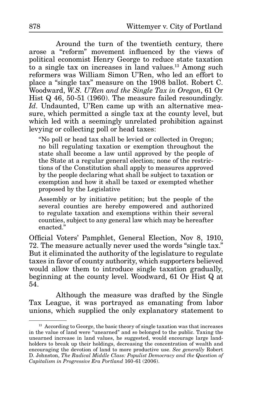Around the turn of the twentieth century, there arose a "reform" movement influenced by the views of political economist Henry George to reduce state taxation to a single tax on increases in land values.13 Among such reformers was William Simon U'Ren, who led an effort to place a "single tax" measure on the 1908 ballot. Robert C. Woodward, *W.S. U'Ren and the Single Tax in Oregon*, 61 Or Hist Q 46, 50-51 (1960). The measure failed resoundingly. *Id*. Undaunted, U'Ren came up with an alternative measure, which permitted a single tax at the county level, but which led with a seemingly unrelated prohibition against levying or collecting poll or head taxes:

"No poll or head tax shall be levied or collected in Oregon; no bill regulating taxation or exemption throughout the state shall become a law until approved by the people of the State at a regular general election; none of the restrictions of the Constitution shall apply to measures approved by the people declaring what shall be subject to taxation or exemption and how it shall be taxed or exempted whether proposed by the Legislative

Assembly or by initiative petition; but the people of the several counties are hereby empowered and authorized to regulate taxation and exemptions within their several counties, subject to any general law which may be hereafter enacted<sup>"</sup>

Official Voters' Pamphlet, General Election, Nov 8, 1910, 72. The measure actually never used the words "single tax." But it eliminated the authority of the legislature to regulate taxes in favor of county authority, which supporters believed would allow them to introduce single taxation gradually, beginning at the county level. Woodward, 61 Or Hist Q at 54.

Although the measure was drafted by the Single Tax League, it was portrayed as emanating from labor unions, which supplied the only explanatory statement to

<sup>&</sup>lt;sup>13</sup> According to George, the basic theory of single taxation was that increases in the value of land were "unearned" and so belonged to the public. Taxing the unearned increase in land values, he suggested, would encourage large landholders to break up their holdings, decreasing the concentration of wealth and encouraging the devotion of land to more productive use. *See generally* Robert D. Johnston, *The Radical Middle Class: Populist Democracy and the Question of Capitalism in Progressive Era Portland* 160-61 (2006).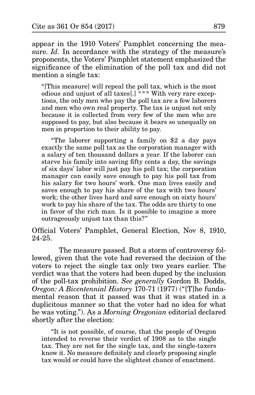appear in the 1910 Voters' Pamphlet concerning the measure. *Id.* In accordance with the strategy of the measure's proponents, the Voters' Pamphlet statement emphasized the significance of the elimination of the poll tax and did not mention a single tax:

"[This measure] will repeal the poll tax, which is the most odious and unjust of all taxes[.] \*\* \* With very rare exceptions, the only men who pay the poll tax are a few laborers and men who own real property. The tax is unjust not only because it is collected from very few of the men who are supposed to pay, but also because it bears so unequally on men in proportion to their ability to pay.

"The laborer supporting a family on \$2 a day pays exactly the same poll tax as the corporation manager with a salary of ten thousand dollars a year. If the laborer can starve his family into saving fifty cents a day, the savings of six days' labor will just pay his poll tax; the corporation manager can easily save enough to pay his poll tax from his salary for two hours' work. One man lives easily and saves enough to pay his share of the tax with two hours' work; the other lives hard and save enough on sixty hours' work to pay his share of the tax. The odds are thirty to one in favor of the rich man. Is it possible to imagine a more outrageously unjust tax than this?"

Official Voters' Pamphlet, General Election, Nov 8, 1910, 24-25.

The measure passed. But a storm of controversy followed, given that the vote had reversed the decision of the voters to reject the single tax only two years earlier. The verdict was that the voters had been duped by the inclusion of the poll-tax prohibition. *See generally* Gordon B. Dodds, *Oregon: A Bicentennial History* 170-71 (1977) ("[T]he fundamental reason that it passed was that it was stated in a duplicitous manner so that the voter had no idea for what he was voting."). As a *Morning Oregonian* editorial declared shortly after the election:

"It is not possible, of course, that the people of Oregon intended to reverse their verdict of 1908 as to the single tax. They are not for the single tax, and the single-taxers know it. No measure definitely and clearly proposing single tax would or could have the slightest chance of enactment.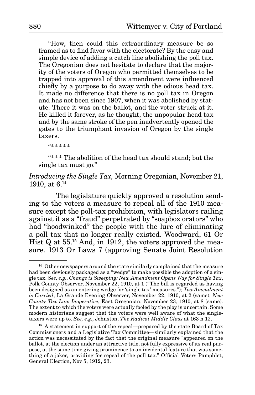"How, then could this extraordinary measure be so framed as to find favor with the electorate? By the easy and simple device of adding a catch line abolishing the poll tax. The Oregonian does not hesitate to declare that the majority of the voters of Oregon who permitted themselves to be trapped into approval of this amendment were influenced chiefly by a purpose to do away with the odious head tax. It made no difference that there is no poll tax in Oregon and has not been since 1907, when it was abolished by statute. There it was on the ballot, and the voter struck at it. He killed it forever, as he thought, the unpopular head tax and by the same stroke of the pen inadvertently opened the gates to the triumphant invasion of Oregon by the single taxers.

"\*\*\*\*\*

"\* \*\* The abolition of the head tax should stand; but the single tax must go."

## *Introducing the Single Tax,* Morning Oregonian, November 21, 1910, at  $6^{14}$

The legislature quickly approved a resolution sending to the voters a measure to repeal all of the 1910 measure except the poll-tax prohibition, with legislators railing against it as a "fraud" perpetrated by "soapbox orators" who had "hoodwinked" the people with the lure of eliminating a poll tax that no longer really existed. Woodward, 61 Or Hist Q at 55.15 And, in 1912, the voters approved the measure. 1913 Or Laws 7 (approving Senate Joint Resolution

<sup>&</sup>lt;sup>14</sup> Other newspapers around the state similarly complained that the measure had been deviously packaged as a "wedge" to make possible the adoption of a single tax. *See, e.g*., *Change is Sweeping: New Amendment Opens Way for Single Tax*, Polk County Observer, November 22, 1910, at 1 ("The bill is regarded as having been designed as an entering wedge for 'single tax' measures."); *Tax Amendment is Carried*, La Grande Evening Observer, November 22, 1910, at 2 (same); *New County Tax Law Inoperative*, East Oregonian, November 23, 1910, at 8 (same). The extent to which the voters were actually fooled by the ploy is uncertain. Some modern historians suggest that the voters were well aware of what the singletaxers were up to. *See, e.g.*, Johnston, *The Radical Middle Class* at 163 n 12.

<sup>&</sup>lt;sup>15</sup> A statement in support of the repeal—prepared by the state Board of Tax Commissioners and a Legislative Tax Committee—similarly explained that the action was necessitated by the fact that the original measure "appeared on the ballot, at the election under an attractive title, not fully expressive of its real purpose, at the same time giving prominence to an incidental feature that was something of a joker, providing for repeal of the poll tax." Official Voters Pamphlet, General Election, Nov 5, 1912, 23.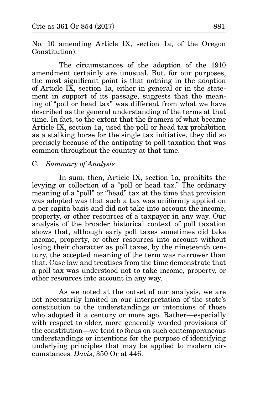No. 10 amending Article IX, section 1a, of the Oregon Constitution).

The circumstances of the adoption of the 1910 amendment certainly are unusual. But, for our purposes, the most significant point is that nothing in the adoption of Article IX, section 1a, either in general or in the statement in support of its passage, suggests that the meaning of "poll or head tax" was different from what we have described as the general understanding of the terms at that time. In fact, to the extent that the framers of what became Article IX, section 1a, used the poll or head tax prohibition as a stalking horse for the single tax initiative, they did so precisely because of the antipathy to poll taxation that was common throughout the country at that time.

## C. *Summary of Analysis*

In sum, then, Article IX, section 1a, prohibits the levying or collection of a "poll or head tax." The ordinary meaning of a "poll" or "head" tax at the time that provision was adopted was that such a tax was uniformly applied on a per capita basis and did not take into account the income, property, or other resources of a taxpayer in any way. Our analysis of the broader historical context of poll taxation shows that, although early poll taxes sometimes did take income, property, or other resources into account without losing their character as poll taxes, by the nineteenth century, the accepted meaning of the term was narrower than that. Case law and treatises from the time demonstrate that a poll tax was understood not to take income, property, or other resources into account in any way.

As we noted at the outset of our analysis, we are not necessarily limited in our interpretation of the state's constitution to the understandings or intentions of those who adopted it a century or more ago. Rather—especially with respect to older, more generally worded provisions of the constitution—we tend to focus on such contemporaneous understandings or intentions for the purpose of identifying underlying principles that may be applied to modern circumstances. *Davis*, 350 Or at 446.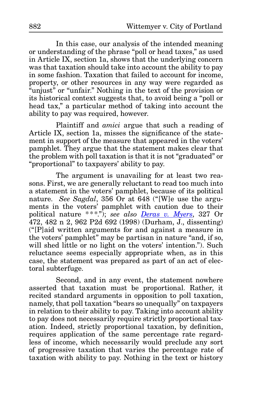In this case, our analysis of the intended meaning or understanding of the phrase "poll or head taxes," as used in Article IX, section 1a, shows that the underlying concern was that taxation should take into account the ability to pay in some fashion. Taxation that failed to account for income, property, or other resources in any way were regarded as "unjust" or "unfair." Nothing in the text of the provision or its historical context suggests that, to avoid being a "poll or head tax," a particular method of taking into account the ability to pay was required, however.

Plaintiff and *amici* argue that such a reading of Article IX, section 1a, misses the significance of the statement in support of the measure that appeared in the voters' pamphlet. They argue that the statement makes clear that the problem with poll taxation is that it is not "graduated" or "proportional" to taxpayers' ability to pay.

The argument is unavailing for at least two reasons. First, we are generally reluctant to read too much into a statement in the voters' pamphlet, because of its political nature. *See Sagdal*, 356 Or at 648 ("[W]e use the arguments in the voters' pamphlet with caution due to their political nature \*\* \*."); *see also [Deras v. Myers](http://www.publications.ojd.state.or.us/docs/S45581.htm)*, 327 Or 472, 482 n 2, 962 P2d 692 (1998) (Durham, J., dissenting) ("[P]aid written arguments for and against a measure in the voters' pamphlet" may be partisan in nature "and, if so, will shed little or no light on the voters' intention."). Such reluctance seems especially appropriate when, as in this case, the statement was prepared as part of an act of electoral subterfuge.

Second, and in any event, the statement nowhere asserted that taxation must be proportional. Rather, it recited standard arguments in opposition to poll taxation, namely, that poll taxation "bears so unequally" on taxpayers in relation to their ability to pay. Taking into account ability to pay does not necessarily require strictly proportional taxation. Indeed, strictly proportional taxation, by definition, requires application of the same percentage rate regardless of income, which necessarily would preclude any sort of progressive taxation that varies the percentage rate of taxation with ability to pay. Nothing in the text or history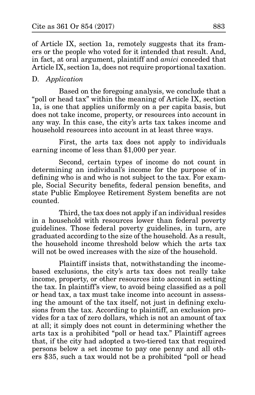of Article IX, section 1a, remotely suggests that its framers or the people who voted for it intended that result. And, in fact, at oral argument, plaintiff and *amici* conceded that Article IX, section 1a, does not require proportional taxation.

### D. *Application*

Based on the foregoing analysis, we conclude that a "poll or head tax" within the meaning of Article IX, section 1a, is one that applies uniformly on a per capita basis, but does not take income, property, or resources into account in any way. In this case, the city's arts tax takes income and household resources into account in at least three ways.

First, the arts tax does not apply to individuals earning income of less than \$1,000 per year.

Second, certain types of income do not count in determining an individual's income for the purpose of in defining who is and who is not subject to the tax. For example, Social Security benefits, federal pension benefits, and state Public Employee Retirement System benefits are not counted.

Third, the tax does not apply if an individual resides in a household with resources lower than federal poverty guidelines. Those federal poverty guidelines, in turn, are graduated according to the size of the household. As a result, the household income threshold below which the arts tax will not be owed increases with the size of the household.

Plaintiff insists that, notwithstanding the incomebased exclusions, the city's arts tax does not really take income, property, or other resources into account in setting the tax. In plaintiff's view, to avoid being classified as a poll or head tax, a tax must take income into account in assessing the amount of the tax itself, not just in defining exclusions from the tax. According to plaintiff, an exclusion provides for a tax of zero dollars, which is not an amount of tax at all; it simply does not count in determining whether the arts tax is a prohibited "poll or head tax." Plaintiff agrees that, if the city had adopted a two-tiered tax that required persons below a set income to pay one penny and all others \$35, such a tax would not be a prohibited "poll or head